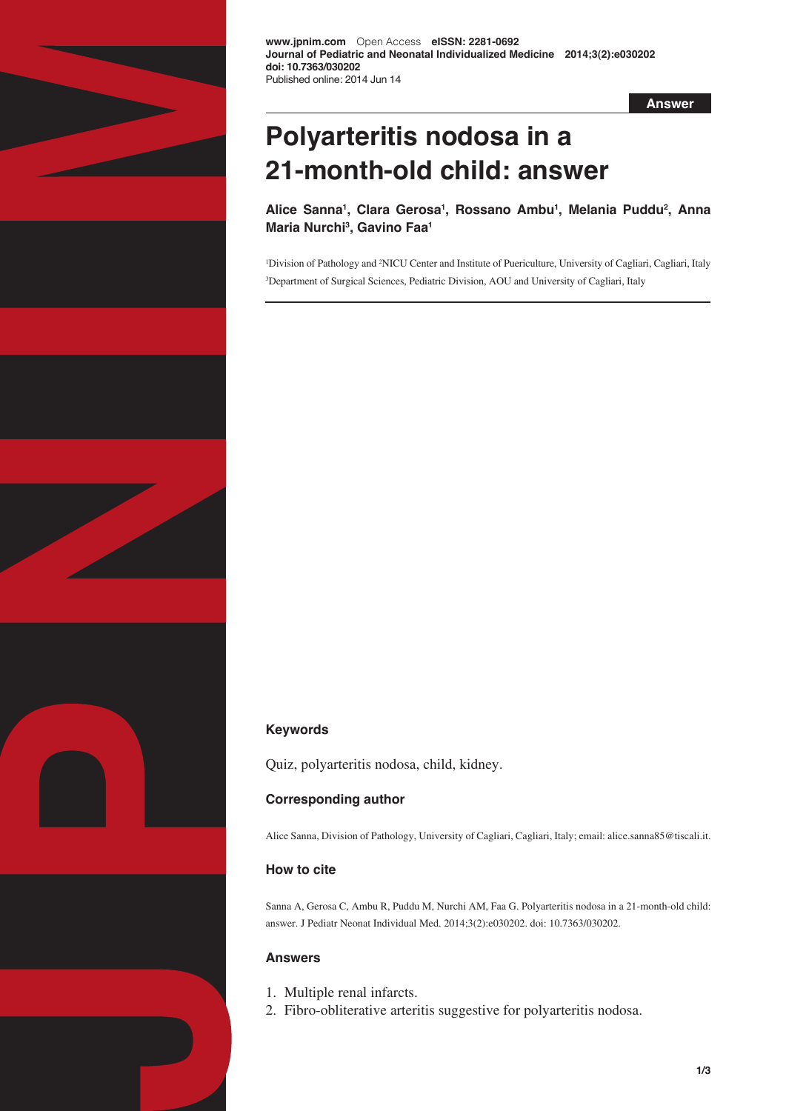

**Answer**

# **Polyarteritis nodosa in a 21-month-old child: answer**

**Alice Sanna1 , Clara Gerosa1 , Rossano Ambu1 , Melania Puddu2 , Anna Maria Nurchi3 , Gavino Faa1**

<sup>1</sup>Division of Pathology and <sup>2</sup>NICU Center and Institute of Puericulture, University of Cagliari, Cagliari, Italy 3 Department of Surgical Sciences, Pediatric Division, AOU and University of Cagliari, Italy

# **Keywords**

Quiz, polyarteritis nodosa, child, kidney.

# **Corresponding author**

Alice Sanna, Division of Pathology, University of Cagliari, Cagliari, Italy; email: alice.sanna85@tiscali.it.

# **How to cite**

Sanna A, Gerosa C, Ambu R, Puddu M, Nurchi AM, Faa G. Polyarteritis nodosa in a 21-month-old child: answer. J Pediatr Neonat Individual Med. 2014;3(2):e030202. doi: 10.7363/030202.

## **Answers**

- 1. Multiple renal infarcts.
- 2. Fibro-obliterative arteritis suggestive for polyarteritis nodosa.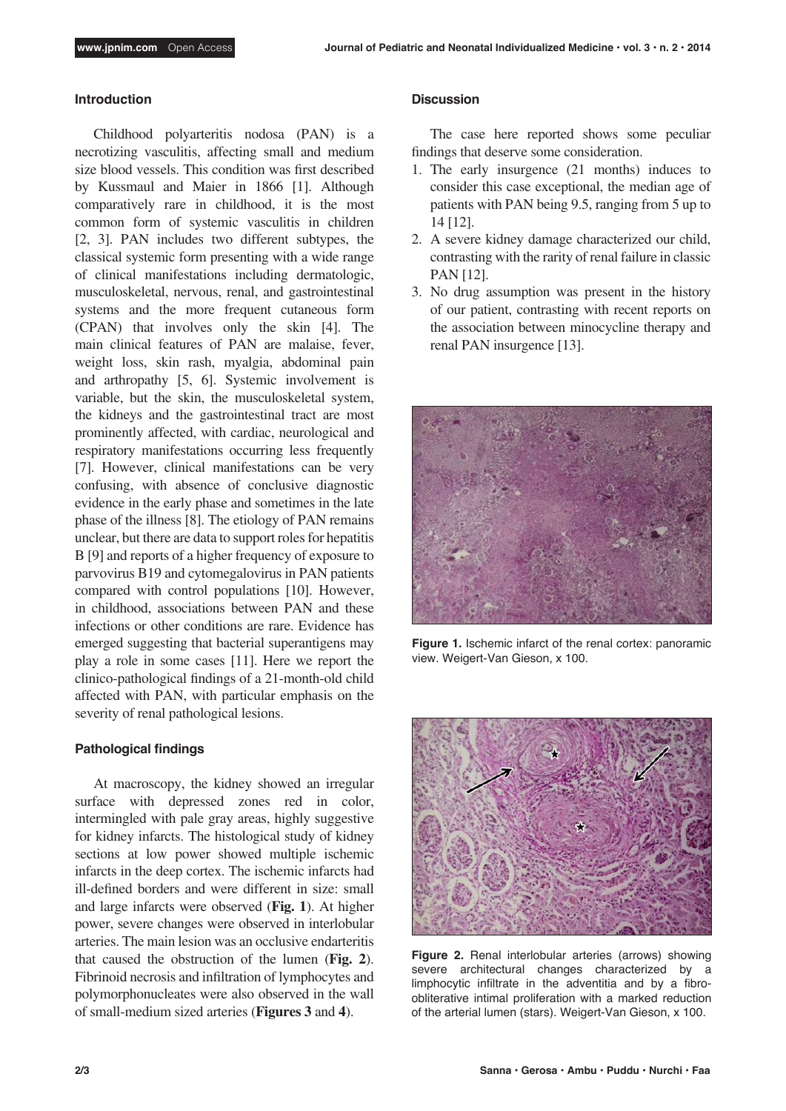#### **Introduction**

Childhood polyarteritis nodosa (PAN) is a necrotizing vasculitis, affecting small and medium size blood vessels. This condition was first described by Kussmaul and Maier in 1866 [1]. Although comparatively rare in childhood, it is the most common form of systemic vasculitis in children [2, 3]. PAN includes two different subtypes, the classical systemic form presenting with a wide range of clinical manifestations including dermatologic, musculoskeletal, nervous, renal, and gastrointestinal systems and the more frequent cutaneous form (CPAN) that involves only the skin [4]. The main clinical features of PAN are malaise, fever, weight loss, skin rash, myalgia, abdominal pain and arthropathy [5, 6]. Systemic involvement is variable, but the skin, the musculoskeletal system, the kidneys and the gastrointestinal tract are most prominently affected, with cardiac, neurological and respiratory manifestations occurring less frequently [7]. However, clinical manifestations can be very confusing, with absence of conclusive diagnostic evidence in the early phase and sometimes in the late phase of the illness [8]. The etiology of PAN remains unclear, but there are data to support roles for hepatitis B [9] and reports of a higher frequency of exposure to parvovirus B19 and cytomegalovirus in PAN patients compared with control populations [10]. However, in childhood, associations between PAN and these infections or other conditions are rare. Evidence has emerged suggesting that bacterial superantigens may play a role in some cases [11]. Here we report the clinico-pathological findings of a 21-month-old child affected with PAN, with particular emphasis on the severity of renal pathological lesions.

### **Pathological findings**

At macroscopy, the kidney showed an irregular surface with depressed zones red in color, intermingled with pale gray areas, highly suggestive for kidney infarcts. The histological study of kidney sections at low power showed multiple ischemic infarcts in the deep cortex. The ischemic infarcts had ill-defined borders and were different in size: small and large infarcts were observed (**Fig. 1**). At higher power, severe changes were observed in interlobular arteries. The main lesion was an occlusive endarteritis that caused the obstruction of the lumen (**Fig. 2**). Fibrinoid necrosis and infiltration of lymphocytes and polymorphonucleates were also observed in the wall of small-medium sized arteries (**Figures 3** and **4**).

#### **Discussion**

The case here reported shows some peculiar findings that deserve some consideration.

- 1. The early insurgence (21 months) induces to consider this case exceptional, the median age of patients with PAN being 9.5, ranging from 5 up to 14 [12].
- 2. A severe kidney damage characterized our child, contrasting with the rarity of renal failure in classic PAN [12].
- 3. No drug assumption was present in the history of our patient, contrasting with recent reports on the association between minocycline therapy and renal PAN insurgence [13].



**Figure 1.** Ischemic infarct of the renal cortex: panoramic view. Weigert-Van Gieson, x 100.



**Figure 2.** Renal interlobular arteries (arrows) showing severe architectural changes characterized by a limphocytic infiltrate in the adventitia and by a fibroobliterative intimal proliferation with a marked reduction of the arterial lumen (stars). Weigert-Van Gieson, x 100.